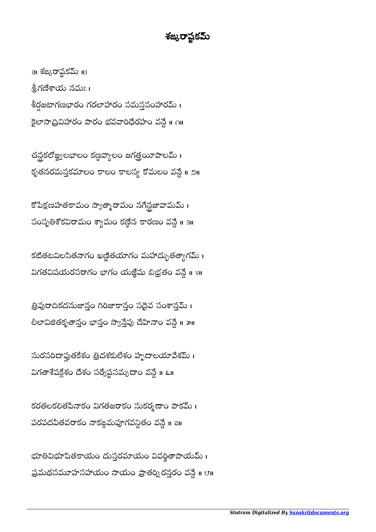## శఙురాష్టకమ్

 $\{II\}$  శఙ్కరాష్టకమ్ $\{II\}$ శ్రీగణేశాయ నమః । శీర్షజటాగణభారం గరలాహారం సమస్తసంహారమ్ । కైలాసాద్రివిహారం పారం భవవారిధేరహం వన్దే ॥ ౧॥

చన్లకలోజ్జ్వలభాలం కణ్ణవ్యాలం జగత్తయీపాలమ్ । కృతనరమస్తకమాలం కాలం కాలస్య కోమలం వన్దే ॥ ౨॥

కోపేక్షణహతకామం స్వాత్మారామం నగేన్ధజావామమ్ । సంసృతిశోకవిరామం శ్యామం కణ్దేన కారణం వన్దే ॥ ३॥

కటితటవిలసితనాగం ఖణ్ణితయాగం మహాద్భుతత్వాగమ్ । విగతవిషయరసరాగం భాగం యజ్ఞేషు బిభ్రతం వన్దే ॥ ४॥

త్రిపురాదికదనుజాన్తం గిరిజాకాన్తం సదైవ సంశాన్తమ్ । లీలావిజితకృతాన్తం భాన్తం స్వాన్తేపు దేహినాం వన్దే ॥ ౫॥

సురసరిదాప్లతకేశం త్రిదశకులేశం హృదాలయావేశమ్ । విగతాశేషక్లేశం దేశం సర్వేష్టసమ్నదాం వన్దే ॥ ६॥

కరతలకలితపినాకం విగతజరాకం సుకర్మణాం పాకమ్ । పరపదవీతవరాకం నాకఙమపూగవన్ధితం వన్దే ॥ all

భూతివిభూషితకాయం దుస్తరమాయం వివర్జితాపాయమ్ । ప్రమథసమూహసహాయం సాయం ప్రాతర్ని రస్తరం వన్దే ॥ ౮॥